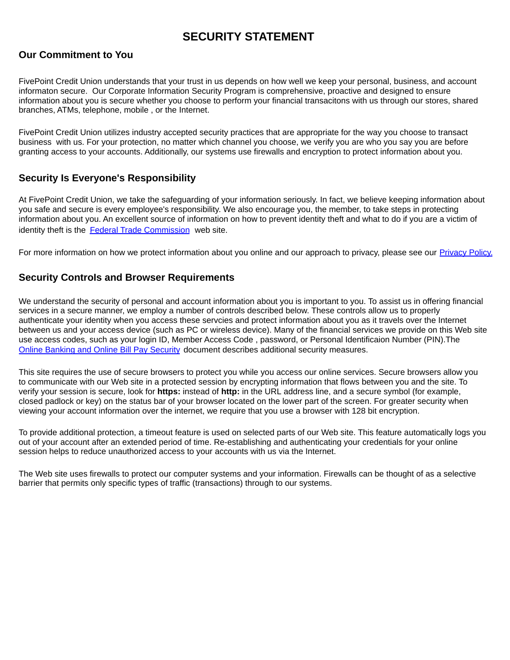## **SECURITY STATEMENT**

### **Our Commitment to You**

FivePoint Credit Union understands that your trust in us depends on how well we keep your personal, business, and account informaton secure. Our Corporate Information Security Program is comprehensive, proactive and designed to ensure information about you is secure whether you choose to perform your financial transacitons with us through our stores, shared branches, ATMs, telephone, mobile, or the Internet.

FivePoint Credit Union utilizes industry accepted security practices that are appropriate for the way you choose to transact business with us. For your protection, no matter which channel you choose, we verify you are who you say you are before granting access to your accounts. Additionally, our systems use firewalls and encryption to protect information about you.

#### **Security Is Everyone's Responsibility**

At FivePoint Credit Union, we take the safequarding of your information seriously. In fact, we believe keeping information about you safe and secure is every employee's responsibility. We also encourage you, the member, to take steps in protecting information about you. An excellent source of information on how to prevent identity theft and what to do if you are a victim of identity theft is the Federal Trade Commission web site.

For more information on how we protect information about you online and our approach to privacy, please see our Privacy Policy.

#### **Security Controls and Browser Requirements**

We understand the security of personal and account information about you is important to you. To assist us in offering financial services in a secure manner, we employ a number of controls described below. These controls allow us to properly authenticate your identity when you access these servcies and protect information about you as it travels over the Internet between us and your access device (such as PC or wireless device). Many of the financial services we provide on this Web site use access codes, such as your login ID, Member Access Code, password, or Personal Identificaion Number (PIN). The Online Banking and Online Bill Pay Security document describes additional security measures.

This site requires the use of secure browsers to protect you while you access our online services. Secure browsers allow you to communicate with our Web site in a protected session by encrypting information that flows between you and the site. To verify your session is secure, look for https: instead of http: in the URL address line, and a secure symbol (for example, closed padlock or key) on the status bar of your browser located on the lower part of the screen. For greater security when viewing your account information over the internet, we require that you use a browser with 128 bit encryption.

To provide additional protection, a timeout feature is used on selected parts of our Web site. This feature automatically logs you out of your account after an extended period of time. Re-establishing and authenticating your credentials for your online session helps to reduce unauthorized access to your accounts with us via the Internet.

The Web site uses firewalls to protect our computer systems and your information. Firewalls can be thought of as a selective barrier that permits only specific types of traffic (transactions) through to our systems.